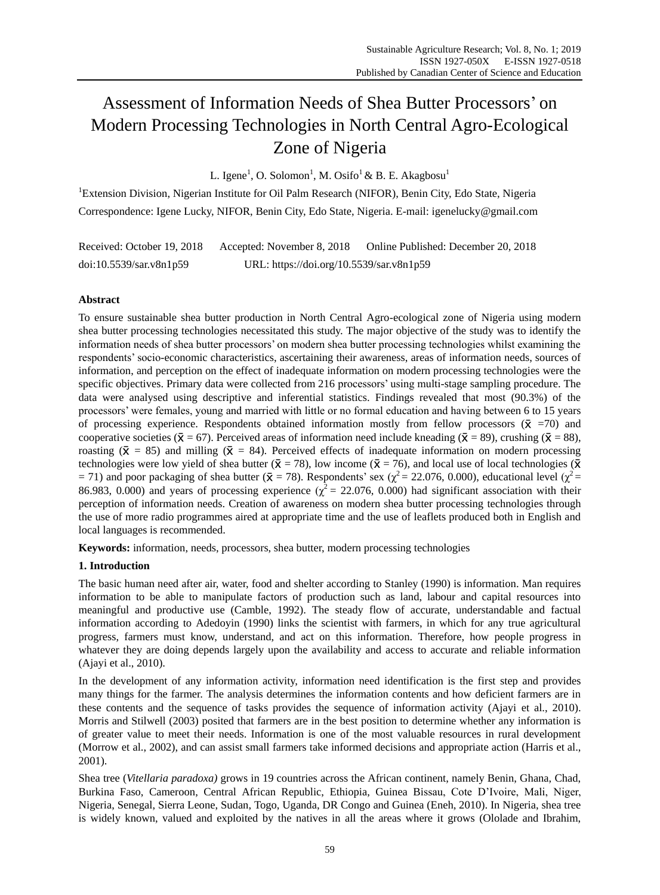# Assessment of Information Needs of Shea Butter Processors' on Modern Processing Technologies in North Central Agro-Ecological Zone of Nigeria

L. Igene<sup>1</sup>, O. Solomon<sup>1</sup>, M. Osifo<sup>1</sup> & B. E. Akagbosu<sup>1</sup>

<sup>1</sup>Extension Division, Nigerian Institute for Oil Palm Research (NIFOR), Benin City, Edo State, Nigeria Correspondence: Igene Lucky, NIFOR, Benin City, Edo State, Nigeria. E-mail: igenelucky@gmail.com

Received: October 19, 2018 Accepted: November 8, 2018 Online Published: December 20, 2018 doi:10.5539/sar.v8n1p59 URL: https://doi.org/10.5539/sar.v8n1p59

# **Abstract**

To ensure sustainable shea butter production in North Central Agro-ecological zone of Nigeria using modern shea butter processing technologies necessitated this study. The major objective of the study was to identify the information needs of shea butter processors' on modern shea butter processing technologies whilst examining the respondents' socio-economic characteristics, ascertaining their awareness, areas of information needs, sources of information, and perception on the effect of inadequate information on modern processing technologies were the specific objectives. Primary data were collected from 216 processors' using multi-stage sampling procedure. The data were analysed using descriptive and inferential statistics. Findings revealed that most (90.3%) of the processors' were females, young and married with little or no formal education and having between 6 to 15 years of processing experience. Respondents obtained information mostly from fellow processors  $(\bar{x} = 70)$  and cooperative societies ( $\bar{x} = 67$ ). Perceived areas of information need include kneading ( $\bar{x} = 89$ ), crushing ( $\bar{x} = 88$ ), roasting  $({\bar X} = 85)$  and milling  $({\bar X} = 84)$ . Perceived effects of inadequate information on modern processing technologies were low yield of shea butter ( $\bar{x}$  = 78), low income ( $\bar{x}$  = 76), and local use of local technologies ( $\bar{x}$ ) = 71) and poor packaging of shea butter ( $\bar{x}$  = 78). Respondents' sex ( $\chi^2$  = 22.076, 0.000), educational level ( $\chi^2$  = 86.983, 0.000) and years of processing experience ( $\chi^2$  = 22.076, 0.000) had significant association with their perception of information needs. Creation of awareness on modern shea butter processing technologies through the use of more radio programmes aired at appropriate time and the use of leaflets produced both in English and local languages is recommended.

**Keywords:** information, needs, processors, shea butter, modern processing technologies

# **1. Introduction**

The basic human need after air, water, food and shelter according to Stanley (1990) is information. Man requires information to be able to manipulate factors of production such as land, labour and capital resources into meaningful and productive use (Camble, 1992). The steady flow of accurate, understandable and factual information according to Adedoyin (1990) links the scientist with farmers, in which for any true agricultural progress, farmers must know, understand, and act on this information. Therefore, how people progress in whatever they are doing depends largely upon the availability and access to accurate and reliable information (Ajayi et al., 2010).

In the development of any information activity, information need identification is the first step and provides many things for the farmer. The analysis determines the information contents and how deficient farmers are in these contents and the sequence of tasks provides the sequence of information activity (Ajayi et al., 2010). Morris and Stilwell (2003) posited that farmers are in the best position to determine whether any information is of greater value to meet their needs. Information is one of the most valuable resources in rural development (Morrow et al., 2002), and can assist small farmers take informed decisions and appropriate action (Harris et al., 2001).

Shea tree (*Vitellaria paradoxa)* grows in 19 countries across the African continent, namely Benin, Ghana, Chad, Burkina Faso, Cameroon, Central African Republic, Ethiopia, Guinea Bissau, Cote D'Ivoire, Mali, Niger, Nigeria, Senegal, Sierra Leone, Sudan, Togo, Uganda, DR Congo and Guinea (Eneh, 2010). In Nigeria, shea tree is widely known, valued and exploited by the natives in all the areas where it grows (Ololade and Ibrahim,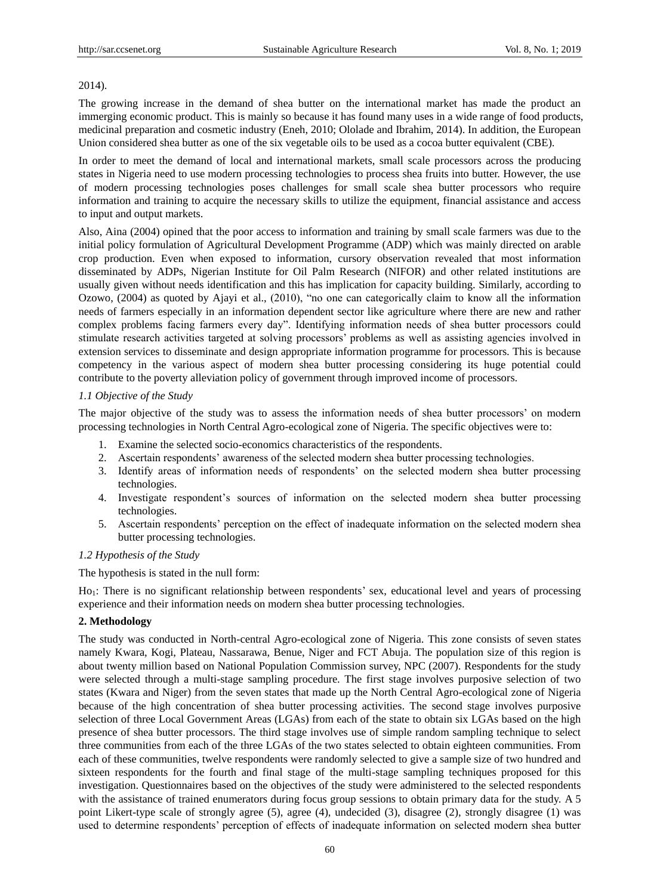#### 2014).

The growing increase in the demand of shea butter on the international market has made the product an immerging economic product. This is mainly so because it has found many uses in a wide range of food products, medicinal preparation and cosmetic industry (Eneh, 2010; Ololade and Ibrahim, 2014). In addition, the European Union considered shea butter as one of the six vegetable oils to be used as a cocoa butter equivalent (CBE).

In order to meet the demand of local and international markets, small scale processors across the producing states in Nigeria need to use modern processing technologies to process shea fruits into butter. However, the use of modern processing technologies poses challenges for small scale shea butter processors who require information and training to acquire the necessary skills to utilize the equipment, financial assistance and access to input and output markets.

Also, Aina (2004) opined that the poor access to information and training by small scale farmers was due to the initial policy formulation of Agricultural Development Programme (ADP) which was mainly directed on arable crop production. Even when exposed to information, cursory observation revealed that most information disseminated by ADPs, Nigerian Institute for Oil Palm Research (NIFOR) and other related institutions are usually given without needs identification and this has implication for capacity building. Similarly, according to Ozowo, (2004) as quoted by Ajayi et al., (2010), "no one can categorically claim to know all the information needs of farmers especially in an information dependent sector like agriculture where there are new and rather complex problems facing farmers every day". Identifying information needs of shea butter processors could stimulate research activities targeted at solving processors' problems as well as assisting agencies involved in extension services to disseminate and design appropriate information programme for processors. This is because competency in the various aspect of modern shea butter processing considering its huge potential could contribute to the poverty alleviation policy of government through improved income of processors.

## *1.1 Objective of the Study*

The major objective of the study was to assess the information needs of shea butter processors' on modern processing technologies in North Central Agro-ecological zone of Nigeria. The specific objectives were to:

- 1. Examine the selected socio-economics characteristics of the respondents.
- 2. Ascertain respondents' awareness of the selected modern shea butter processing technologies.
- 3. Identify areas of information needs of respondents' on the selected modern shea butter processing technologies.
- 4. Investigate respondent's sources of information on the selected modern shea butter processing technologies.
- 5. Ascertain respondents' perception on the effect of inadequate information on the selected modern shea butter processing technologies.

## *1.2 Hypothesis of the Study*

The hypothesis is stated in the null form:

Ho<sub>1</sub>: There is no significant relationship between respondents' sex, educational level and years of processing experience and their information needs on modern shea butter processing technologies.

## **2. Methodology**

The study was conducted in North-central Agro-ecological zone of Nigeria. This zone consists of seven states namely Kwara, Kogi, Plateau, Nassarawa, Benue, Niger and FCT Abuja. The population size of this region is about twenty million based on National Population Commission survey, NPC (2007). Respondents for the study were selected through a multi-stage sampling procedure. The first stage involves purposive selection of two states (Kwara and Niger) from the seven states that made up the North Central Agro-ecological zone of Nigeria because of the high concentration of shea butter processing activities. The second stage involves purposive selection of three Local Government Areas (LGAs) from each of the state to obtain six LGAs based on the high presence of shea butter processors. The third stage involves use of simple random sampling technique to select three communities from each of the three LGAs of the two states selected to obtain eighteen communities. From each of these communities, twelve respondents were randomly selected to give a sample size of two hundred and sixteen respondents for the fourth and final stage of the multi-stage sampling techniques proposed for this investigation. Questionnaires based on the objectives of the study were administered to the selected respondents with the assistance of trained enumerators during focus group sessions to obtain primary data for the study. A 5 point Likert-type scale of strongly agree (5), agree (4), undecided (3), disagree (2), strongly disagree (1) was used to determine respondents' perception of effects of inadequate information on selected modern shea butter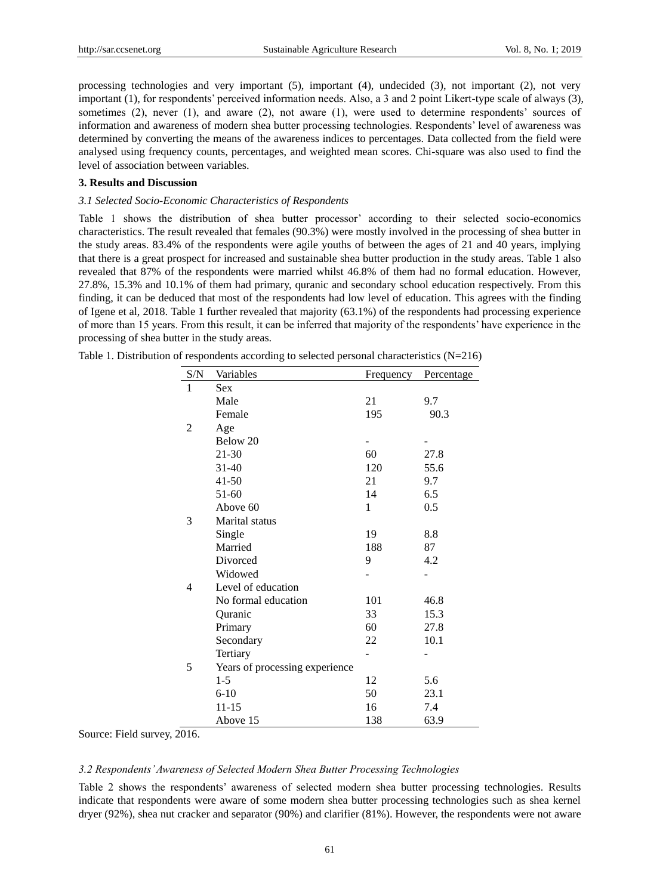processing technologies and very important (5), important (4), undecided (3), not important (2), not very important (1), for respondents' perceived information needs. Also, a 3 and 2 point Likert-type scale of always (3), sometimes (2), never (1), and aware (2), not aware (1), were used to determine respondents' sources of information and awareness of modern shea butter processing technologies. Respondents' level of awareness was determined by converting the means of the awareness indices to percentages. Data collected from the field were analysed using frequency counts, percentages, and weighted mean scores. Chi-square was also used to find the level of association between variables.

## **3. Results and Discussion**

#### *3.1 Selected Socio-Economic Characteristics of Respondents*

Table 1 shows the distribution of shea butter processor' according to their selected socio-economics characteristics. The result revealed that females (90.3%) were mostly involved in the processing of shea butter in the study areas. 83.4% of the respondents were agile youths of between the ages of 21 and 40 years, implying that there is a great prospect for increased and sustainable shea butter production in the study areas. Table 1 also revealed that 87% of the respondents were married whilst 46.8% of them had no formal education. However, 27.8%, 15.3% and 10.1% of them had primary, quranic and secondary school education respectively. From this finding, it can be deduced that most of the respondents had low level of education. This agrees with the finding of Igene et al, 2018. Table 1 further revealed that majority (63.1%) of the respondents had processing experience of more than 15 years. From this result, it can be inferred that majority of the respondents' have experience in the processing of shea butter in the study areas.

| S/N            | Variables                      | Frequency | Percentage |
|----------------|--------------------------------|-----------|------------|
| $\mathbf{1}$   | <b>Sex</b>                     |           |            |
|                | Male                           | 21        | 9.7        |
|                | Female                         | 195       | 90.3       |
| $\overline{2}$ | Age                            |           |            |
|                | Below 20                       |           |            |
|                | 21-30                          | 60        | 27.8       |
|                | $31 - 40$                      | 120       | 55.6       |
|                | $41 - 50$                      | 21        | 9.7        |
|                | $51-60$                        | 14        | 6.5        |
|                | Above 60                       | 1         | 0.5        |
| 3              | Marital status                 |           |            |
|                | Single                         | 19        | 8.8        |
|                | Married                        | 188       | 87         |
|                | Divorced                       | 9         | 4.2        |
|                | Widowed                        |           |            |
| 4              | Level of education             |           |            |
|                | No formal education            | 101       | 46.8       |
|                | Quranic                        | 33        | 15.3       |
|                | Primary                        | 60        | 27.8       |
|                | Secondary                      | 22        | 10.1       |
|                | Tertiary                       | -         |            |
| 5              | Years of processing experience |           |            |
|                | $1-5$                          | 12        | 5.6        |
|                | $6-10$                         | 50        | 23.1       |
|                | $11 - 15$                      | 16        | 7.4        |
|                | Above 15                       | 138       | 63.9       |

Table 1. Distribution of respondents according to selected personal characteristics  $(N=216)$ 

Source: Field survey, 2016.

#### *3.2 Respondents' Awareness of Selected Modern Shea Butter Processing Technologies*

Table 2 shows the respondents' awareness of selected modern shea butter processing technologies. Results indicate that respondents were aware of some modern shea butter processing technologies such as shea kernel dryer (92%), shea nut cracker and separator (90%) and clarifier (81%). However, the respondents were not aware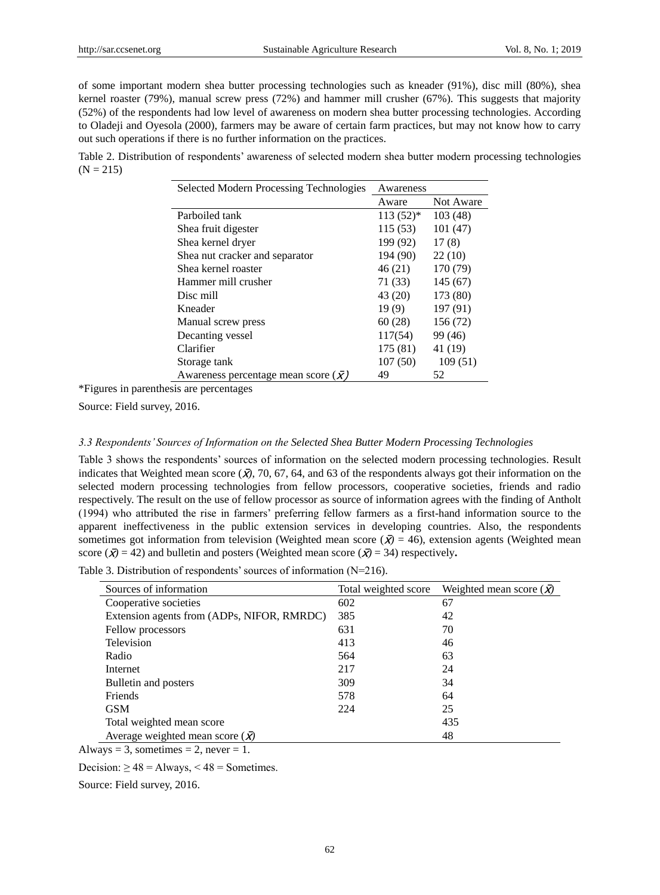of some important modern shea butter processing technologies such as kneader (91%), disc mill (80%), shea kernel roaster (79%), manual screw press (72%) and hammer mill crusher (67%). This suggests that majority (52%) of the respondents had low level of awareness on modern shea butter processing technologies. According to Oladeji and Oyesola (2000), farmers may be aware of certain farm practices, but may not know how to carry out such operations if there is no further information on the practices.

Table 2. Distribution of respondents' awareness of selected modern shea butter modern processing technologies  $(N = 215)$ 

| <b>Selected Modern Processing Technologies</b> | Awareness  |           |  |
|------------------------------------------------|------------|-----------|--|
|                                                | Aware      | Not Aware |  |
| Parboiled tank                                 | $113(52)*$ | 103(48)   |  |
| Shea fruit digester                            | 115(53)    | 101(47)   |  |
| Shea kernel dryer                              | 199 (92)   | 17(8)     |  |
| Shea nut cracker and separator                 | 194 (90)   | 22(10)    |  |
| Shea kernel roaster                            | 46 (21)    | 170 (79)  |  |
| Hammer mill crusher                            | 71 (33)    | 145(67)   |  |
| Disc mill                                      | 43 (20)    | 173 (80)  |  |
| Kneader                                        | 19(9)      | 197 (91)  |  |
| Manual screw press                             | 60(28)     | 156 (72)  |  |
| Decanting vessel                               | 117(54)    | 99 (46)   |  |
| Clarifier                                      | 175 (81)   | 41 (19)   |  |
| Storage tank                                   | 107(50)    | 109(51)   |  |
| Awareness percentage mean score $(X)$          | 49         | 52        |  |

\*Figures in parenthesis are percentages

Source: Field survey, 2016.

#### *3.3 Respondents' Sources of Information on the Selected Shea Butter Modern Processing Technologies*

Table 3 shows the respondents' sources of information on the selected modern processing technologies. Result indicates that Weighted mean score ( $\bar{X}$ ), 70, 67, 64, and 63 of the respondents always got their information on the selected modern processing technologies from fellow processors, cooperative societies, friends and radio respectively. The result on the use of fellow processor as source of information agrees with the finding of Antholt (1994) who attributed the rise in farmers' preferring fellow farmers as a first-hand information source to the apparent ineffectiveness in the public extension services in developing countries. Also, the respondents sometimes got information from television (Weighted mean score  $({\bar{X}}) = 46$ ), extension agents (Weighted mean score  $({\overline{x}}) = 42$ ) and bulletin and posters (Weighted mean score  $({\overline{x}}) = 34$ ) respectively.

Table 3. Distribution of respondents' sources of information (N=216).

| Sources of information                     | Total weighted score | Weighted mean score $(\bar{x})$ |
|--------------------------------------------|----------------------|---------------------------------|
| Cooperative societies                      | 602                  | 67                              |
| Extension agents from (ADPs, NIFOR, RMRDC) | 385                  | 42                              |
| Fellow processors                          | 631                  | 70                              |
| Television                                 | 413                  | 46                              |
| Radio                                      | 564                  | 63                              |
| Internet                                   | 217                  | 24                              |
| Bulletin and posters                       | 309                  | 34                              |
| Friends                                    | 578                  | 64                              |
| <b>GSM</b>                                 | 224                  | 25                              |
| Total weighted mean score                  |                      | 435                             |
| Average weighted mean score $(\bar{x})$    |                      | 48                              |

Always = 3, sometimes = 2, never = 1.

Decision:  $\geq 48 =$  Always, < 48 = Sometimes.

Source: Field survey, 2016.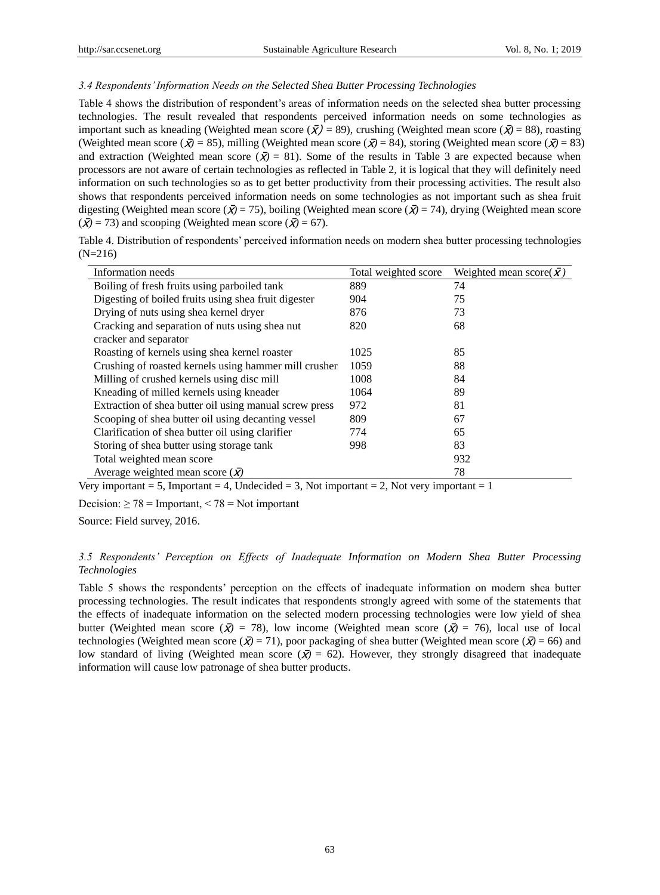### *3.4 Respondents' Information Needs on the Selected Shea Butter Processing Technologies*

Table 4 shows the distribution of respondent's areas of information needs on the selected shea butter processing technologies. The result revealed that respondents perceived information needs on some technologies as important such as kneading (Weighted mean score  $(\bar{x}) = 89$ ), crushing (Weighted mean score  $(\bar{x}) = 88$ ), roasting (Weighted mean score ( $\bar{X}$ ) = 85), milling (Weighted mean score ( $\bar{X}$ ) = 84), storing (Weighted mean score ( $\bar{X}$ ) = 83) and extraction (Weighted mean score  $(\bar{X}) = 81$ ). Some of the results in Table 3 are expected because when processors are not aware of certain technologies as reflected in Table 2, it is logical that they will definitely need information on such technologies so as to get better productivity from their processing activities. The result also shows that respondents perceived information needs on some technologies as not important such as shea fruit digesting (Weighted mean score ( $\bar{x}$ ) = 75), boiling (Weighted mean score ( $\bar{x}$ ) = 74), drying (Weighted mean score  $({\bar{\mathbf{X}}}) = 73$ ) and scooping (Weighted mean score  $({\bar{\mathbf{X}}}) = 67$ ).

| Table 4. Distribution of respondents' perceived information needs on modern shea butter processing technologies |  |  |
|-----------------------------------------------------------------------------------------------------------------|--|--|
| $(N=216)$                                                                                                       |  |  |

| Information needs                                      | Total weighted score | Weighted mean score( $\bar{x}$ ) |
|--------------------------------------------------------|----------------------|----------------------------------|
| Boiling of fresh fruits using parboiled tank           | 889                  | 74                               |
| Digesting of boiled fruits using shea fruit digester   | 904                  | 75                               |
| Drying of nuts using shea kernel dryer                 | 876                  | 73                               |
| Cracking and separation of nuts using shea nut         | 820                  | 68                               |
| cracker and separator                                  |                      |                                  |
| Roasting of kernels using shea kernel roaster          | 1025                 | 85                               |
| Crushing of roasted kernels using hammer mill crusher  | 1059                 | 88                               |
| Milling of crushed kernels using disc mill             | 1008                 | 84                               |
| Kneading of milled kernels using kneader               | 1064                 | 89                               |
| Extraction of shea butter oil using manual screw press | 972                  | 81                               |
| Scooping of shea butter oil using decanting vessel     | 809                  | 67                               |
| Clarification of shea butter oil using clarifier       | 774                  | 65                               |
| Storing of shea butter using storage tank              | 998                  | 83                               |
| Total weighted mean score                              |                      | 932                              |
| Average weighted mean score $(\bar{x})$                |                      | 78                               |

Very important = 5, Important = 4, Undecided = 3, Not important = 2, Not very important = 1

Decision:  $\geq 78$  = Important, < 78 = Not important

Source: Field survey, 2016.

## *3.5 Respondents' Perception on Effects of Inadequate Information on Modern Shea Butter Processing Technologies*

Table 5 shows the respondents' perception on the effects of inadequate information on modern shea butter processing technologies. The result indicates that respondents strongly agreed with some of the statements that the effects of inadequate information on the selected modern processing technologies were low yield of shea butter (Weighted mean score  $(\bar{X}) = 78$ ), low income (Weighted mean score  $(\bar{X}) = 76$ ), local use of local technologies (Weighted mean score  $(\bar{X}) = 71$ ), poor packaging of shea butter (Weighted mean score  $(\bar{X}) = 66$ ) and low standard of living (Weighted mean score  $(\bar{X}) = 62$ ). However, they strongly disagreed that inadequate information will cause low patronage of shea butter products.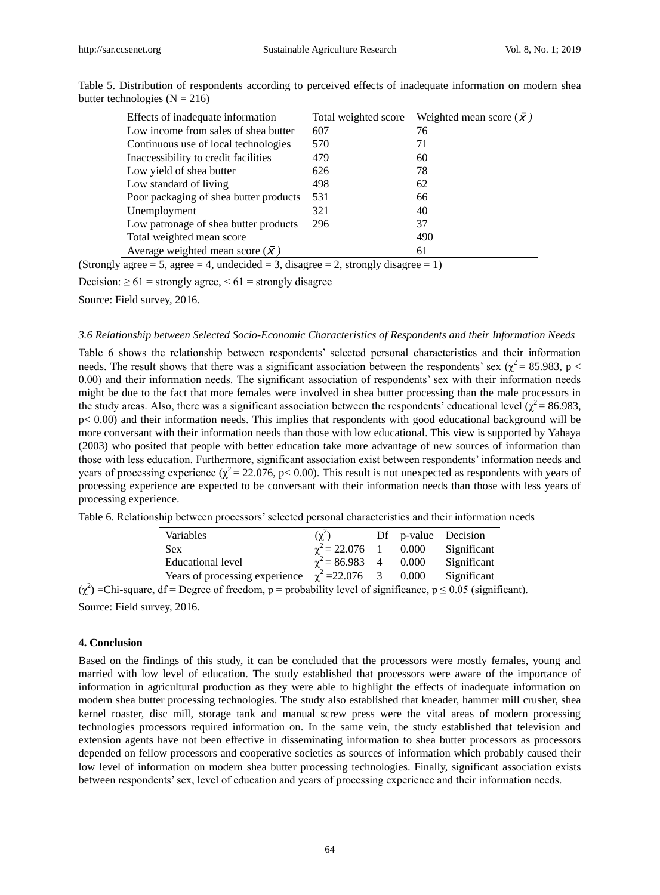| Effects of inadequate information       | Total weighted score | Weighted mean score $(\bar{X})$ |
|-----------------------------------------|----------------------|---------------------------------|
| Low income from sales of shea butter    | 607                  | 76                              |
| Continuous use of local technologies    | 570                  | 71                              |
| Inaccessibility to credit facilities    | 479                  | 60                              |
| Low yield of shea butter                | 626                  | 78                              |
| Low standard of living                  | 498                  | 62                              |
| Poor packaging of shea butter products  | 531                  | 66                              |
| Unemployment                            | 321                  | 40                              |
| Low patronage of shea butter products   | 296                  | 37                              |
| Total weighted mean score               |                      | 490                             |
| Average weighted mean score $(\bar{x})$ |                      | 61                              |

Table 5. Distribution of respondents according to perceived effects of inadequate information on modern shea butter technologies ( $N = 216$ )

(Strongly agree  $= 5$ , agree  $= 4$ , undecided  $= 3$ , disagree  $= 2$ , strongly disagree  $= 1$ )

Decision:  $\geq 61$  = strongly agree, < 61 = strongly disagree

Source: Field survey, 2016.

## *3.6 Relationship between Selected Socio-Economic Characteristics of Respondents and their Information Needs*

Table 6 shows the relationship between respondents' selected personal characteristics and their information needs. The result shows that there was a significant association between the respondents' sex ( $\chi^2$  = 85.983, p < 0.00) and their information needs. The significant association of respondents' sex with their information needs might be due to the fact that more females were involved in shea butter processing than the male processors in the study areas. Also, there was a significant association between the respondents' educational level ( $\chi^2$  = 86.983, p< 0.00) and their information needs. This implies that respondents with good educational background will be more conversant with their information needs than those with low educational. This view is supported by Yahaya (2003) who posited that people with better education take more advantage of new sources of information than those with less education. Furthermore, significant association exist between respondents' information needs and years of processing experience ( $\chi^2$  = 22.076, p< 0.00). This result is not unexpected as respondents with years of processing experience are expected to be conversant with their information needs than those with less years of processing experience.

Table 6. Relationship between processors' selected personal characteristics and their information needs

| Variables                      | $(\gamma^2)$          |       | Df p-value Decision |
|--------------------------------|-----------------------|-------|---------------------|
| <b>Sex</b>                     | $\gamma^2 = 22.076$   | 0.000 | Significant         |
| Educational level              | $\gamma^2$ = 86.983 4 | 0.000 | Significant         |
| Years of processing experience | $\chi^2 = 22.076$     | 0.000 | Significant         |

 $(\chi^2)$  =Chi-square, df = Degree of freedom, p = probability level of significance, p  $\leq 0.05$  (significant). Source: Field survey, 2016.

#### **4. Conclusion**

Based on the findings of this study, it can be concluded that the processors were mostly females, young and married with low level of education. The study established that processors were aware of the importance of information in agricultural production as they were able to highlight the effects of inadequate information on modern shea butter processing technologies. The study also established that kneader, hammer mill crusher, shea kernel roaster, disc mill, storage tank and manual screw press were the vital areas of modern processing technologies processors required information on. In the same vein, the study established that television and extension agents have not been effective in disseminating information to shea butter processors as processors depended on fellow processors and cooperative societies as sources of information which probably caused their low level of information on modern shea butter processing technologies. Finally, significant association exists between respondents' sex, level of education and years of processing experience and their information needs.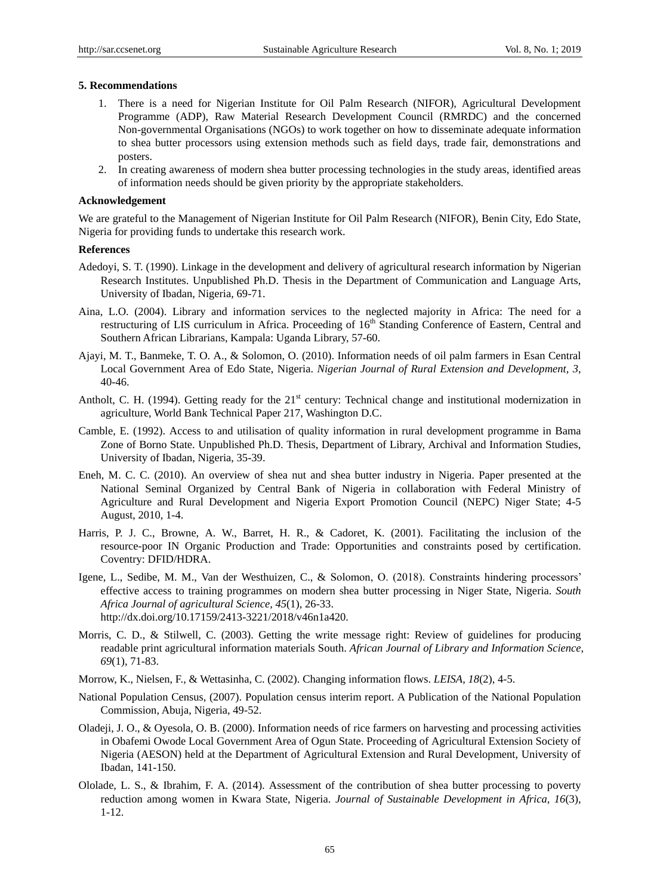#### **5. Recommendations**

- 1. There is a need for Nigerian Institute for Oil Palm Research (NIFOR), Agricultural Development Programme (ADP), Raw Material Research Development Council (RMRDC) and the concerned Non-governmental Organisations (NGOs) to work together on how to disseminate adequate information to shea butter processors using extension methods such as field days, trade fair, demonstrations and posters.
- 2. In creating awareness of modern shea butter processing technologies in the study areas, identified areas of information needs should be given priority by the appropriate stakeholders.

#### **Acknowledgement**

We are grateful to the Management of Nigerian Institute for Oil Palm Research (NIFOR), Benin City, Edo State, Nigeria for providing funds to undertake this research work.

## **References**

- Adedoyi, S. T. (1990). Linkage in the development and delivery of agricultural research information by Nigerian Research Institutes. Unpublished Ph.D. Thesis in the Department of Communication and Language Arts, University of Ibadan, Nigeria, 69-71.
- Aina, L.O. (2004). Library and information services to the neglected majority in Africa: The need for a restructuring of LIS curriculum in Africa. Proceeding of 16<sup>th</sup> Standing Conference of Eastern, Central and Southern African Librarians, Kampala: Uganda Library, 57-60.
- Ajayi, M. T., Banmeke, T. O. A., & Solomon, O. (2010). Information needs of oil palm farmers in Esan Central Local Government Area of Edo State, Nigeria. *Nigerian Journal of Rural Extension and Development, 3*, 40-46.
- Antholt, C. H. (1994). Getting ready for the  $21<sup>st</sup>$  century: Technical change and institutional modernization in agriculture, World Bank Technical Paper 217, Washington D.C.
- Camble, E. (1992). Access to and utilisation of quality information in rural development programme in Bama Zone of Borno State. Unpublished Ph.D. Thesis, Department of Library, Archival and Information Studies, University of Ibadan, Nigeria, 35-39.
- Eneh, M. C. C. (2010). An overview of shea nut and shea butter industry in Nigeria. Paper presented at the National Seminal Organized by Central Bank of Nigeria in collaboration with Federal Ministry of Agriculture and Rural Development and Nigeria Export Promotion Council (NEPC) Niger State; 4-5 August, 2010, 1-4.
- Harris, P. J. C., Browne, A. W., Barret, H. R., & Cadoret, K. (2001). Facilitating the inclusion of the resource-poor IN Organic Production and Trade: Opportunities and constraints posed by certification. Coventry: DFID/HDRA.
- Igene, L., Sedibe, M. M., Van der Westhuizen, C., & Solomon, O. (2018). Constraints hindering processors' effective access to training programmes on modern shea butter processing in Niger State, Nigeria. *South Africa Journal of agricultural Science, 45*(1), 26-33. http://dx.doi.org/10.17159/2413-3221/2018/v46n1a420.
- Morris, C. D., & Stilwell, C. (2003). Getting the write message right: Review of guidelines for producing readable print agricultural information materials South. *African Journal of Library and Information Science, 69*(1), 71-83.
- Morrow, K., Nielsen, F., & Wettasinha, C. (2002). Changing information flows. *LEISA, 18*(2), 4-5.
- National Population Census, (2007). Population census interim report. A Publication of the National Population Commission, Abuja, Nigeria, 49-52.
- Oladeji, J. O., & Oyesola, O. B. (2000). Information needs of rice farmers on harvesting and processing activities in Obafemi Owode Local Government Area of Ogun State. Proceeding of Agricultural Extension Society of Nigeria (AESON) held at the Department of Agricultural Extension and Rural Development, University of Ibadan, 141-150.
- Ololade, L. S., & Ibrahim, F. A. (2014). Assessment of the contribution of shea butter processing to poverty reduction among women in Kwara State, Nigeria. *Journal of Sustainable Development in Africa, 16*(3), 1-12.